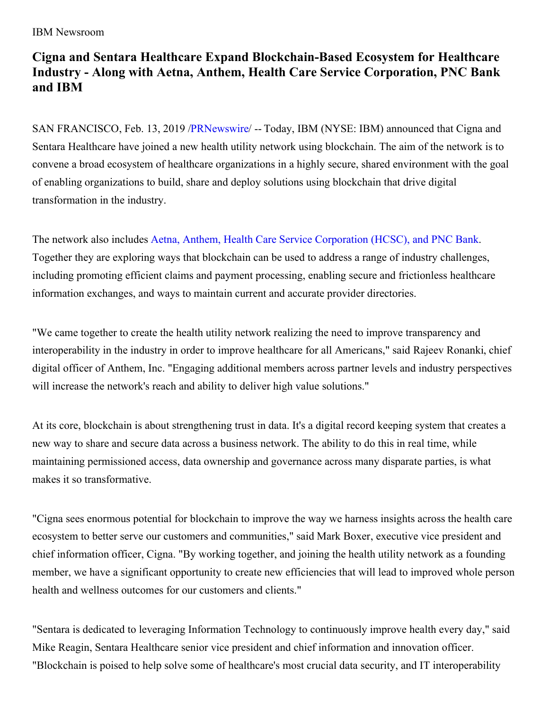## IBM Newsroom

# **Cigna and Sentara Healthcare Expand Blockchain-Based Ecosystem for Healthcare Industry - Along with Aetna, Anthem, Health Care Service Corporation, PNC Bank and IBM**

SAN FRANCISCO, Feb. 13, 2019 [/PRNewswire](http://www.prnewswire.com/)/ -- Today, IBM (NYSE: IBM) announced that Cigna and Sentara Healthcare have joined a new health utility network using blockchain. The aim of the network is to convene a broad ecosystem of healthcare organizations in a highly secure, shared environment with the goal of enabling organizations to build, share and deploy solutions using blockchain that drive digital transformation in the industry.

The network also includes Aetna, Anthem, Health Care Service [Corporation](https://c212.net/c/link/?t=0&l=en&o=2373664-1&h=3864266462&u=https%3A%2F%2Fnewsroom.ibm.com%2F2019-01-24-Aetna-Anthem-Health-Care-Service-Corporation-PNC-Bank-and-IBM-announce-collaboration-to-establish-blockchain-based-ecosystem-for-the-healthcare-industry&a=Aetna%2C+Anthem%2C+Health+Care+Service+Corporation+(HCSC)%2C+and+PNC+Bank) (HCSC), and PNC Bank. Together they are exploring ways that blockchain can be used to address a range of industry challenges, including promoting efficient claims and payment processing, enabling secure and frictionless healthcare information exchanges, and ways to maintain current and accurate provider directories.

"We came together to create the health utility network realizing the need to improve transparency and interoperability in the industry in order to improve healthcare for all Americans," said Rajeev Ronanki, chief digital officer of Anthem, Inc. "Engaging additional members across partner levels and industry perspectives will increase the network's reach and ability to deliver high value solutions."

At its core, blockchain is about strengthening trust in data. It's a digital record keeping system that creates a new way to share and secure data across a business network. The ability to do this in real time, while maintaining permissioned access, data ownership and governance across many disparate parties, is what makes it so transformative.

"Cigna sees enormous potential for blockchain to improve the way we harness insights across the health care ecosystem to better serve our customers and communities," said Mark Boxer, executive vice president and chief information officer, Cigna. "By working together, and joining the health utility network as a founding member, we have a significant opportunity to create new efficiencies that will lead to improved whole person health and wellness outcomes for our customers and clients."

"Sentara is dedicated to leveraging Information Technology to continuously improve health every day," said Mike Reagin, Sentara Healthcare senior vice president and chief information and innovation officer. "Blockchain is poised to help solve some of healthcare's most crucial data security, and IT interoperability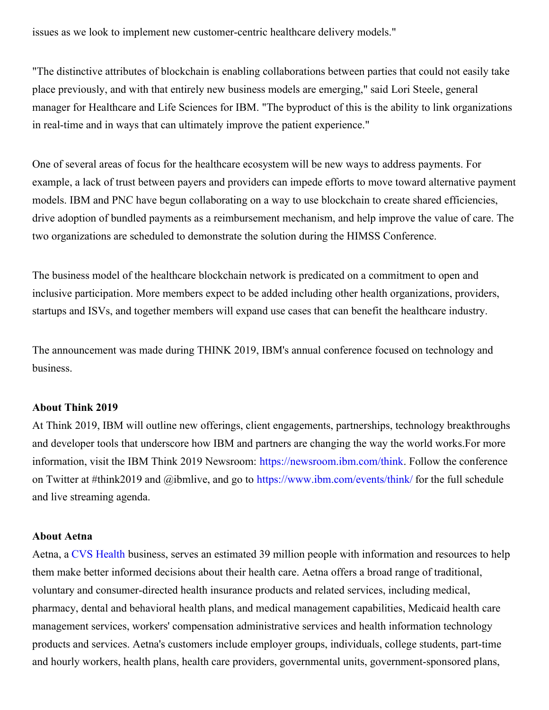issues as we look to implement new customer-centric healthcare delivery models."

"The distinctive attributes of blockchain is enabling collaborations between parties that could not easily take place previously, and with that entirely new business models are emerging," said Lori Steele, general manager for Healthcare and Life Sciences for IBM. "The byproduct of this is the ability to link organizations in real-time and in ways that can ultimately improve the patient experience."

One of several areas of focus for the healthcare ecosystem will be new ways to address payments. For example, a lack of trust between payers and providers can impede efforts to move toward alternative payment models. IBM and PNC have begun collaborating on a way to use blockchain to create shared efficiencies, drive adoption of bundled payments as a reimbursement mechanism, and help improve the value of care. The two organizations are scheduled to demonstrate the solution during the HIMSS Conference.

The business model of the healthcare blockchain network is predicated on a commitment to open and inclusive participation. More members expect to be added including other health organizations, providers, startups and ISVs, and together members will expand use cases that can benefit the healthcare industry.

The announcement was made during THINK 2019, IBM's annual conference focused on technology and business.

#### **About Think 2019**

At Think 2019, IBM will outline new offerings, client engagements, partnerships, technology breakthroughs and developer tools that underscore how IBM and partners are changing the way the world works.For more information, visit the IBM Think 2019 Newsroom: [https://newsroom.ibm.com/think](https://c212.net/c/link/?t=0&l=en&o=2373664-1&h=398720625&u=https%3A%2F%2Fnewsroom.ibm.com%2Fthink&a=https%3A%2F%2Fnewsroom.ibm.com%2Fthink). Follow the conference on Twitter at #think2019 and @ibmlive, and go to [https://www.ibm.com/events/think/](https://c212.net/c/link/?t=0&l=en&o=2373664-1&h=2626133687&u=https%3A%2F%2Fwww.ibm.com%2Fevents%2Fthink%2F&a=https%3A%2F%2Fwww.ibm.com%2Fevents%2Fthink%2F) for the full schedule and live streaming agenda.

#### **About Aetna**

Aetna, a CVS [Health](https://c212.net/c/link/?t=0&l=en&o=2373664-1&h=3624988011&u=https%3A%2F%2Fcvshealth.com%2F&a=CVS+Health) business, serves an estimated 39 million people with information and resources to help them make better informed decisions about their health care. Aetna offers a broad range of traditional, voluntary and consumer-directed health insurance products and related services, including medical, pharmacy, dental and behavioral health plans, and medical management capabilities, Medicaid health care management services, workers' compensation administrative services and health information technology products and services. Aetna's customers include employer groups, individuals, college students, part-time and hourly workers, health plans, health care providers, governmental units, government-sponsored plans,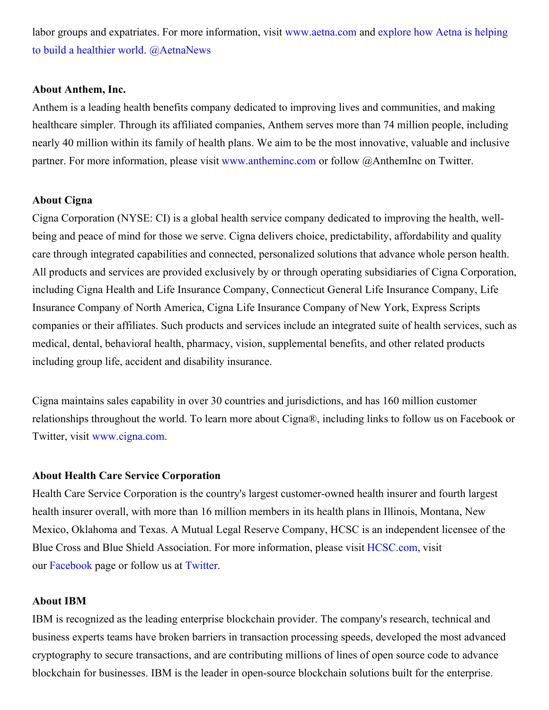labor groups and expatriates. For more information, visit [www.aetna.co](https://c212.net/c/link/?t=0&l=en&o=2373664-1&h=1915673037&u=http%3A%2F%2Fwww.aetna.com%2F&a=www.aetna.com)[m](https://c212.net/c/link/?t=0&l=en&o=2373664-1&h=472691444&u=https%3A%2F%2Fnews.aetna.com%2F&a=explore+how+Aetna+is+helping+to+build+a+healthier+world) and explore how Aetna is helping to build a healthier world. [@AetnaNews](https://c212.net/c/link/?t=0&l=en&o=2373664-1&h=3903767653&u=https%3A%2F%2Ftwitter.com%2FAetnaNews&a=%40AetnaNews)

## **About Anthem, Inc.**

Anthem is a leading health benefits company dedicated to improving lives and communities, and making healthcare simpler. Through its affiliated companies, Anthem serves more than 74 million people, including nearly 40 million within its family of health plans. We aim to be the most innovative, valuable and inclusive partner. For more information, please visit [www.antheminc.com](https://c212.net/c/link/?t=0&l=en&o=2373664-1&h=2295423396&u=https%3A%2F%2Furldefense.proofpoint.com%2Fv2%2Furl%3Fu%3Dhttp-3A__www.antheminc.com_%26d%3DDwMFAg%26c%3Djf_iaSHvJObTbx-siA1ZOg%26r%3DGhGqx4DhjVGrmpBpYF2JYiLjfQHcyyZ5_vj7Z9e586Y%26m%3DkJDcttwB_onstmiycWbLYuV9g-sxkRQRB93fkLYnJNs%26s%3DGZFS9X7e8_LXl2vHvGBqrp55EZfNpkQoQemoNmWYeJs%26e%3D&a=www.antheminc.com) or follow @AnthemInc on Twitter.

## **About Cigna**

Cigna Corporation (NYSE: CI) is a global health service company dedicated to improving the health, wellbeing and peace of mind for those we serve. Cigna delivers choice, predictability, affordability and quality care through integrated capabilities and connected, personalized solutions that advance whole person health. All products and services are provided exclusively by or through operating subsidiaries of Cigna Corporation, including Cigna Health and Life Insurance Company, Connecticut General Life Insurance Company, Life Insurance Company of North America, Cigna Life Insurance Company of New York, Express Scripts companies or their affiliates. Such products and services include an integrated suite of health services, such as medical, dental, behavioral health, pharmacy, vision, supplemental benefits, and other related products including group life, accident and disability insurance.

Cigna maintains sales capability in over 30 countries and jurisdictions, and has 160 million customer relationships throughout the world. To learn more about Cigna®, including links to follow us on Facebook or Twitter, visit [www.cigna.com](http://www.cigna.com).

#### **About Health Care Service Corporation**

Health Care Service Corporation is the country's largest customer-owned health insurer and fourth largest health insurer overall, with more than 16 million members in its health plans in Illinois, Montana, New Mexico, Oklahoma and Texas. A Mutual Legal Reserve Company, HCSC is an independent licensee of the Blue Cross and Blue Shield Association. For more information, please visit [HCSC.com,](https://c212.net/c/link/?t=0&l=en&o=2373664-1&h=853247968&u=http%3A%2F%2Fwww.hcsc.com%2F&a=HCSC.com%2C) visit our [Facebook](https://c212.net/c/link/?t=0&l=en&o=2373664-1&h=3519251596&u=https%3A%2F%2Fwww.facebook.com%2Fhealthcareservicecorporation&a=Facebook) page or follow us at [Twitter](https://c212.net/c/link/?t=0&l=en&o=2373664-1&h=934945916&u=https%3A%2F%2Ftwitter.com%2FHCSC&a=Twitter).

#### **About IBM**

IBM is recognized as the leading enterprise blockchain provider. The company's research, technical and business experts teams have broken barriers in transaction processing speeds, developed the most advanced cryptography to secure transactions, and are contributing millions of lines of open source code to advance blockchain for businesses. IBM is the leader in open-source blockchain solutions built for the enterprise.